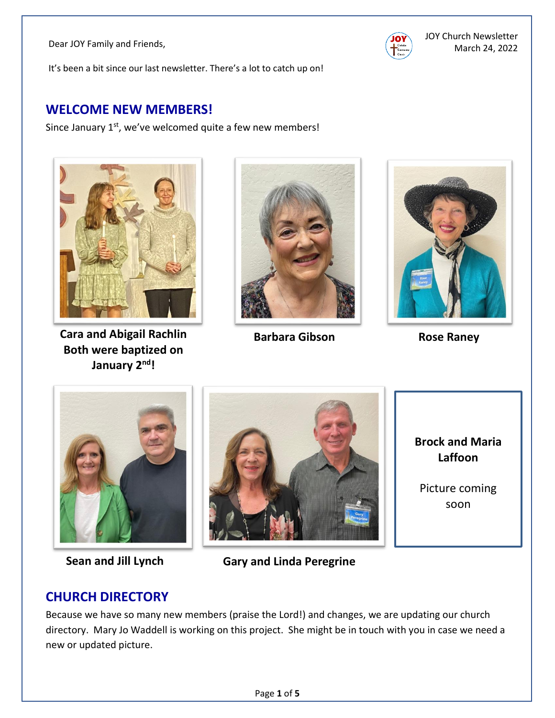

It's been a bit since our last newsletter. There's a lot to catch up on!

#### **WELCOME NEW MEMBERS!**

Since January  $1<sup>st</sup>$ , we've welcomed quite a few new members!



**Cara and Abigail Rachlin Both were baptized on January 2nd!**



**Barbara Gibson Rose Raney** 





**Sean and Jill Lynch**



**Gary and Linda Peregrine**

**Brock and Maria Laffoon**

Picture coming soon

## **CHURCH DIRECTORY**

Because we have so many new members (praise the Lord!) and changes, we are updating our church directory. Mary Jo Waddell is working on this project. She might be in touch with you in case we need a new or updated picture.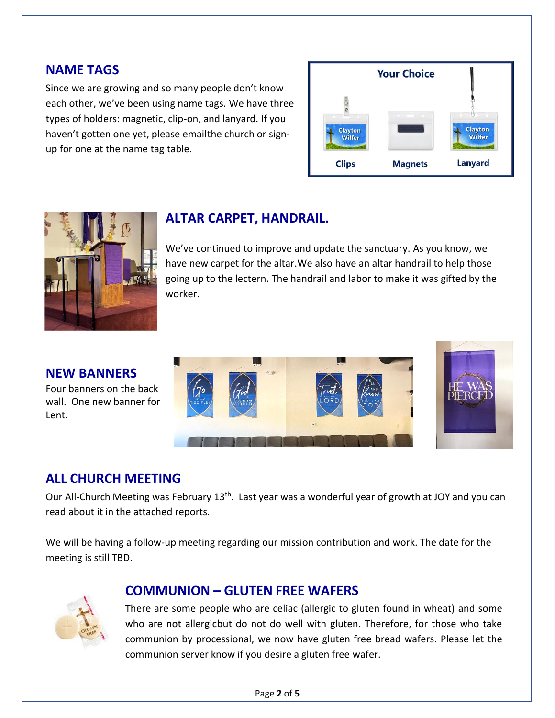#### **NAME TAGS**

Since we are growing and so many people don't know each other, we've been using name tags. We have three types of holders: magnetic, clip-on, and lanyard. If you haven't gotten one yet, please emailthe church or signup for one at the name tag table.





## **ALTAR CARPET, HANDRAIL.**

We've continued to improve and update the sanctuary. As you know, we have new carpet for the altar.We also have an altar handrail to help those going up to the lectern. The handrail and labor to make it was gifted by the worker.

#### **NEW BANNERS**

Four banners on the back wall. One new banner for Lent.





#### **ALL CHURCH MEETING**

Our All-Church Meeting was February 13<sup>th</sup>. Last year was a wonderful year of growth at JOY and you can read about it in the attached reports.

We will be having a follow-up meeting regarding our mission contribution and work. The date for the meeting is still TBD.



#### **COMMUNION – GLUTEN FREE WAFERS**

There are some people who are celiac (allergic to gluten found in wheat) and some who are not allergicbut do not do well with gluten. Therefore, for those who take communion by processional, we now have gluten free bread wafers. Please let the communion server know if you desire a gluten free wafer.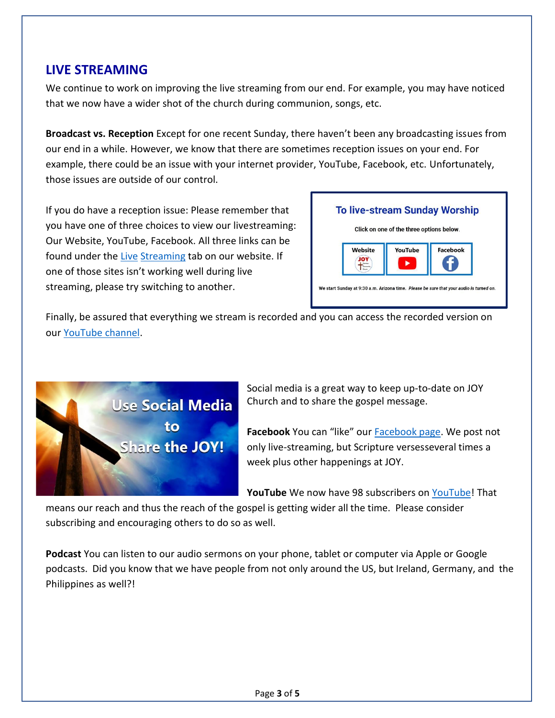### **LIVE STREAMING**

We continue to work on improving the live streaming from our end. For example, you may have noticed that we now have a wider shot of the church during communion, songs, etc.

**Broadcast vs. Reception** Except for one recent Sunday, there haven't been any broadcasting issues from our end in a while. However, we know that there are sometimes reception issues on your end. For example, there could be an issue with your internet provider, YouTube, Facebook, etc. Unfortunately, those issues are outside of our control.

If you do have a reception issue: Please remember that you have one of three choices to view our livestreaming: Our Website, YouTube, Facebook. All three links can be found under the [Live](https://joychurchaz.com/live-streaming/) [Streaming](https://joychurchaz.com/live-streaming/) tab on our website. If one of those sites isn't working well during live streaming, please try switching to another.



Finally, be assured that everything we stream is recorded and you can access the recorded version on our [YouTube](https://www.youtube.com/channel/UCEAGZ-kDb3byPByx_DSTC7Q) channel.



Social media is a great way to keep up-to-date on JOY Church and to share the gospel message.

**Facebook** You can "like" our [Facebook page.](https://www.facebook.com/JOYFountainHills) We post not only live-streaming, but Scripture versesseveral times a week plus other happenings at JOY.

**YouTube** We now have 98 subscribers on [YouTube!](https://www.youtube.com/channel/UCEAGZ-kDb3byPByx_DSTC7Q) That

means our reach and thus the reach of the gospel is getting wider all the time. Please consider subscribing and encouraging others to do so as well.

**Podcast** You can listen to our audio sermons on your phone, tablet or computer via Apple or Google podcasts. Did you know that we have people from not only around the US, but Ireland, Germany, and the Philippines as well?!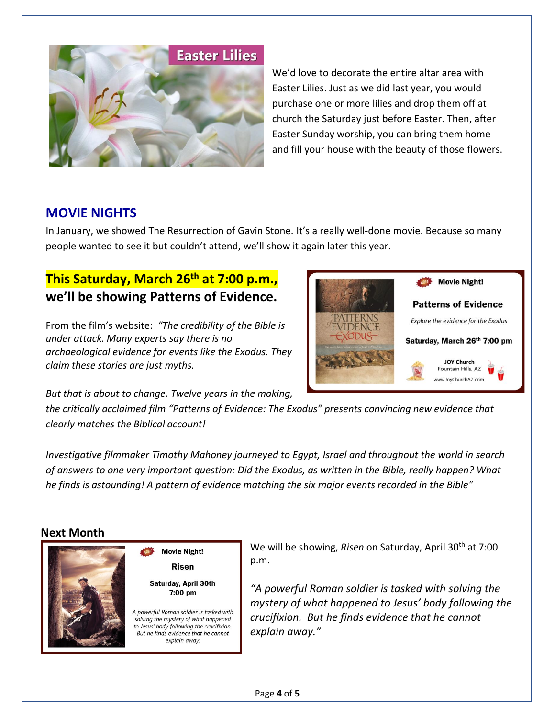

We'd love to decorate the entire altar area with Easter Lilies. Just as we did last year, you would purchase one or more lilies and drop them off at church the Saturday just before Easter. Then, after Easter Sunday worship, you can bring them home and fill your house with the beauty of those flowers.

#### **MOVIE NIGHTS**

In January, we showed The Resurrection of Gavin Stone. It's a really well-done movie. Because so many people wanted to see it but couldn't attend, we'll show it again later this year.

## **This Saturday, March 26th at 7:00 p.m., we'll be showing Patterns of Evidence.**

From the film's website: *"The credibility of the Bible is under attack. Many experts say there is no archaeological evidence for events like the Exodus. They claim these stories are just myths.*



*But that is about to change. Twelve years in the making,* 

**Movie Night! Risen** Saturday, April 30th 7:00 pm

A powerful Roman soldier is tasked with solving the mystery of what happened to Jesus' body following the crucifixion. But he finds evidence that he cannot explain away.

*the critically acclaimed film "Patterns of Evidence: The Exodus" presents convincing new evidence that clearly matches the Biblical account!*

*Investigative filmmaker Timothy Mahoney journeyed to Egypt, Israel and throughout the world in search of answers to one very important question: Did the Exodus, as written in the Bible, really happen? What he finds is astounding! A pattern of evidence matching the six major events recorded in the Bible"*

#### **Next Month**



We will be showing, *Risen* on Saturday, April 30th at 7:00 p.m.

> *"A powerful Roman soldier is tasked with solving the mystery of what happened to Jesus' body following the crucifixion. But he finds evidence that he cannot explain away."*